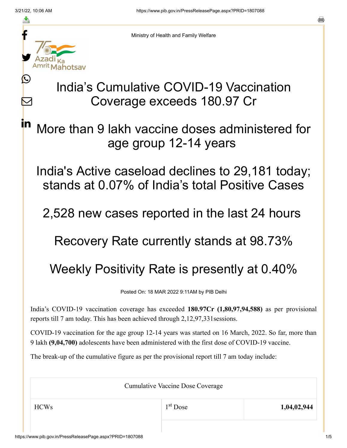≛

 $\bm{\nabla}$ 

in



Ministry of Health and Family Welfare

## India's Cumulative COVID-19 Vaccination Coverage exceeds 180.97 Cr

More than 9 lakh vaccine doses administered for age group 12-14 years

India's Active caseload declines to 29,181 today; stands at 0.07% of India's total Positive Cases

2,528 new cases reported in the last 24 hours

Recovery Rate currently stands at 98.73%

## Weekly Positivity Rate is presently at 0.40%

Posted On: 18 MAR 2022 9:11AM by PIB Delhi

India's COVID-19 vaccination coverage has exceeded **180.97Cr (1,80,97,94,588)** as per provisional reports till 7 am today. This has been achieved through 2,12,97,331sessions.

COVID-19 vaccination for the age group 12-14 years was started on 16 March, 2022. So far, more than 9 lakh **(9,04,700)** adolescents have been administered with the first dose of COVID-19 vaccine.

The break-up of the cumulative figure as per the provisional report till 7 am today include:

Cumulative Vaccine Dose Coverage HCWs 1,04,02,944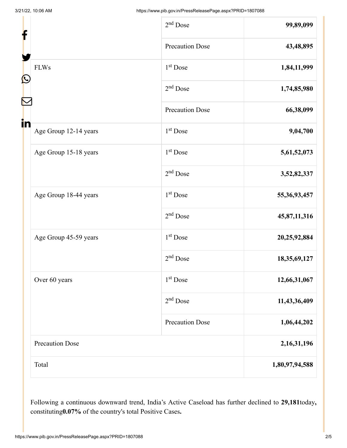| f                           | $2nd$ Dose             | 99,89,099       |
|-----------------------------|------------------------|-----------------|
|                             | <b>Precaution Dose</b> | 43,48,895       |
| <b>FLWs</b><br>C            | 1 <sup>st</sup> Dose   | 1,84,11,999     |
|                             | $2nd$ Dose             | 1,74,85,980     |
|                             | <b>Precaution Dose</b> | 66,38,099       |
| in<br>Age Group 12-14 years | 1 <sup>st</sup> Dose   | 9,04,700        |
| Age Group 15-18 years       | 1 <sup>st</sup> Dose   | 5,61,52,073     |
|                             | $2nd$ Dose             | 3,52,82,337     |
| Age Group 18-44 years       | 1 <sup>st</sup> Dose   | 55, 36, 93, 457 |
|                             | $2nd$ Dose             | 45,87,11,316    |
| Age Group 45-59 years       | $1st$ Dose             | 20,25,92,884    |
|                             | $2nd$ Dose             | 18,35,69,127    |
| Over 60 years               | 1 <sup>st</sup> Dose   | 12,66,31,067    |
|                             | $2nd$ Dose             | 11,43,36,409    |
|                             | <b>Precaution Dose</b> | 1,06,44,202     |
| <b>Precaution Dose</b>      |                        | 2, 16, 31, 196  |
| Total                       |                        | 1,80,97,94,588  |

Following a continuous downward trend, India's Active Caseload has further declined to **29,181**today**,** constituting**0.07%** of the country's total Positive Cases**.**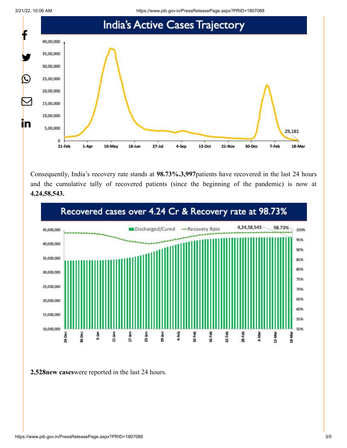

Consequently, India's recovery rate stands at **98.73%.3,997**patients have recovered in the last 24 hours and the cumulative tally of recovered patients (since the beginning of the pandemic) is now at **4,24,58,543.**



**2,528new cases**were reported in the last 24 hours.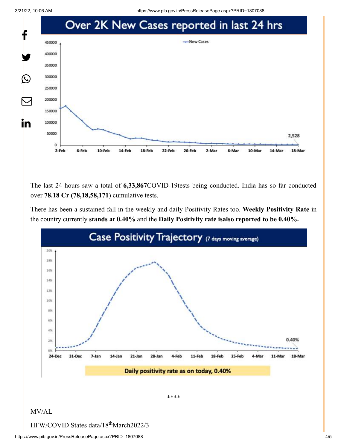3/21/22, 10:06 AM https://www.pib.gov.in/PressReleasePage.aspx?PRID=1807088



The last 24 hours saw a total of **6,33,867**COVID-19tests being conducted. India has so far conducted over **78.18 Cr (78,18,58,171**) cumulative tests.

There has been a sustained fall in the weekly and daily Positivity Rates too. **Weekly Positivity Rate** in the country currently **stands at 0.40%** and the **Daily Positivity rate isalso reported to be 0.40%.**